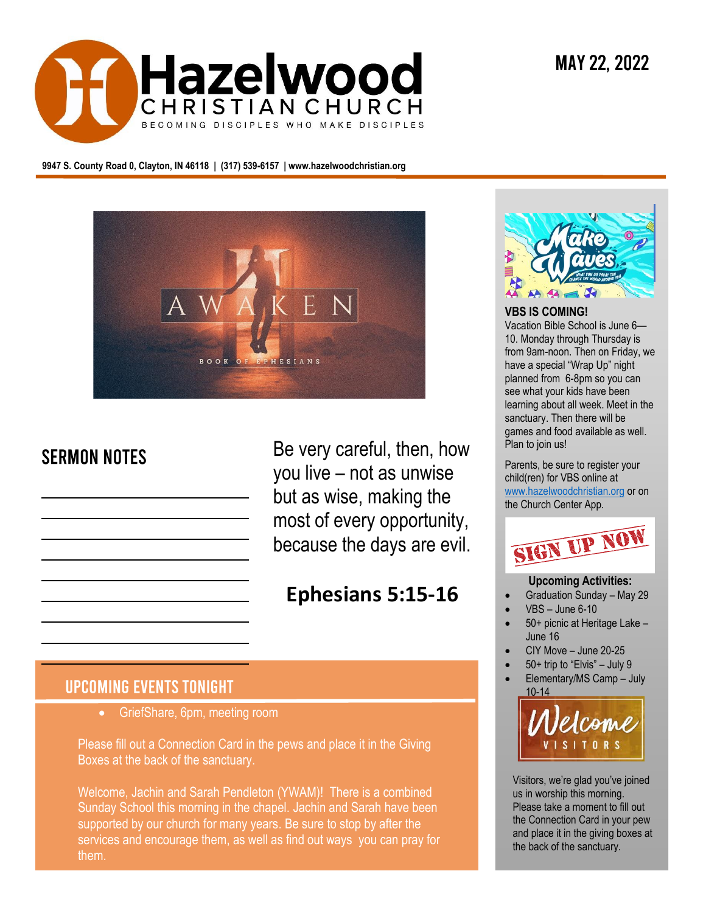

**9947 S. County Road 0, Clayton, IN 46118 | (317) 539-6157 | www.hazelwoodchristian.org**



# **SERMON NOTES**

Be very careful, then, how you live – not as unwise but as wise, making the most of every opportunity, because the days are evil.

# **Ephesians 5:15-16**

# **UPCOMING EVENTS TONIGHT**

• GriefShare, 6pm, meeting room

Please fill out a Connection Card in the pews and place it in the Giving Boxes at the back of the sanctuary.

supported by our church for many years. Be sure to stop by after the Welcome, Jachin and Sarah Pendleton (YWAM)! There is a combined Sunday School this morning in the chapel. Jachin and Sarah have been services and encourage them, as well as find out ways you can pray for them.



### **VBS IS COMING!**

Vacation Bible School is June 6— 10. Monday through Thursday is from 9am-noon. Then on Friday, we have a special "Wrap Up" night planned from 6-8pm so you can see what your kids have been learning about all week. Meet in the sanctuary. Then there will be games and food available as well. Plan to join us!

Parents, be sure to register your child(ren) for VBS online at [www.hazelwoodchristian.org](http://www.hazelwoodchristian.org/) or on the Church Center App.



#### **Upcoming Activities:**

- Graduation Sunday May 29
- VBS June 6-10
- 50+ picnic at Heritage Lake June 16
- CIY Move June 20-25
- 50+ trip to "Elvis" July 9
- Elementary/MS Camp July 10-14



Visitors, we're glad you've joined us in worship this morning. Please take a moment to fill out the Connection Card in your pew and place it in the giving boxes at the back of the sanctuary.